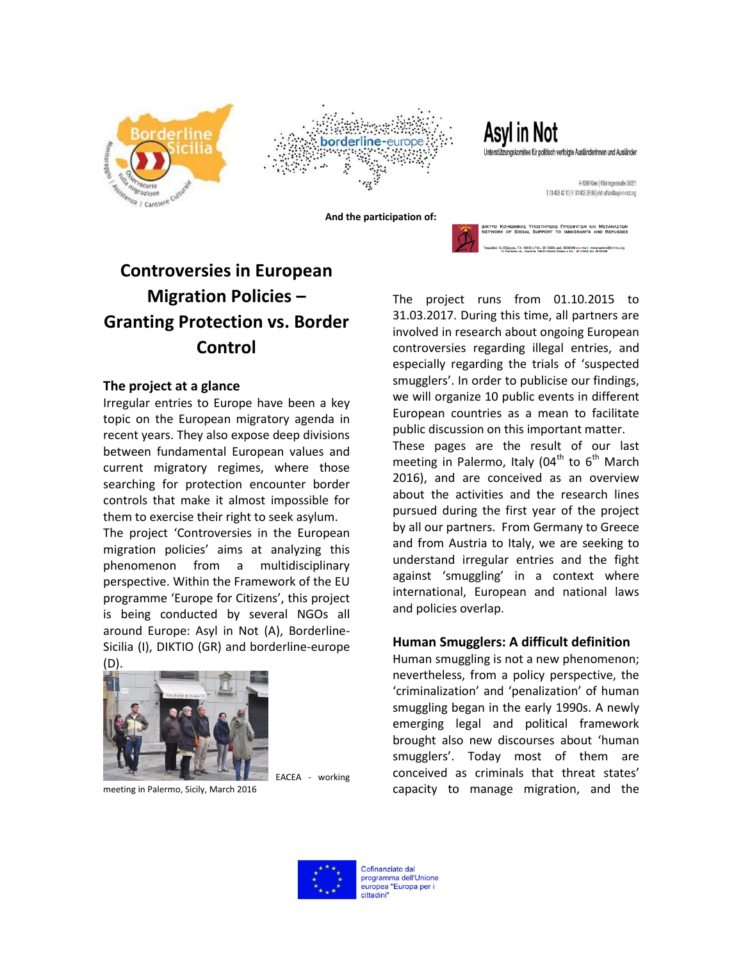



Asyl in Not Unterstützungskomitee für politisch verfolgte Ausländerinnen und Ausländer

> A-1090 Wien | Währingerstraße 59/2/1 T: 01/408 42 10 | F: 01/405 28 88 | eM: office@asyl-in-not.org

 **And the participation of:** 



## **Controversies in European Migration Policies – Granting Protection vs. Border Control**

## **The project at a glance**

Irregular entries to Europe have been a key topic on the European migratory agenda in recent years. They also expose deep divisions between fundamental European values and current migratory regimes, where those searching for protection encounter border controls that make it almost impossible for them to exercise their right to seek asylum.

The project 'Controversies in the European migration policies' aims at analyzing this phenomenon from a multidisciplinary perspective. Within the Framework of the EU programme 'Europe for Citizens', this project is being conducted by several NGOs all around Europe: Asyl in Not (A), Borderline-Sicilia (I), DIKTIO (GR) and borderline-europe (D).



meeting in Palermo, Sicily, March 2016

The project runs from 01.10.2015 to 31.03.2017. During this time, all partners are involved in research about ongoing European controversies regarding illegal entries, and especially regarding the trials of 'suspected smugglers'. In order to publicise our findings, we will organize 10 public events in different European countries as a mean to facilitate public discussion on this important matter.

These pages are the result of our last meeting in Palermo, Italy (04<sup>th</sup> to  $6<sup>th</sup>$  March 2016), and are conceived as an overview about the activities and the research lines pursued during the first year of the project by all our partners. From Germany to Greece and from Austria to Italy, we are seeking to understand irregular entries and the fight against 'smuggling' in a context where international, European and national laws and policies overlap.

## **Human Smugglers: A difficult definition**

Human smuggling is not a new phenomenon; nevertheless, from a policy perspective, the 'criminalization' and 'penalization' of human smuggling began in the early 1990s. A newly emerging legal and political framework brought also new discourses about 'human smugglers'. Today most of them are conceived as criminals that threat states' capacity to manage migration, and the



EACEA - working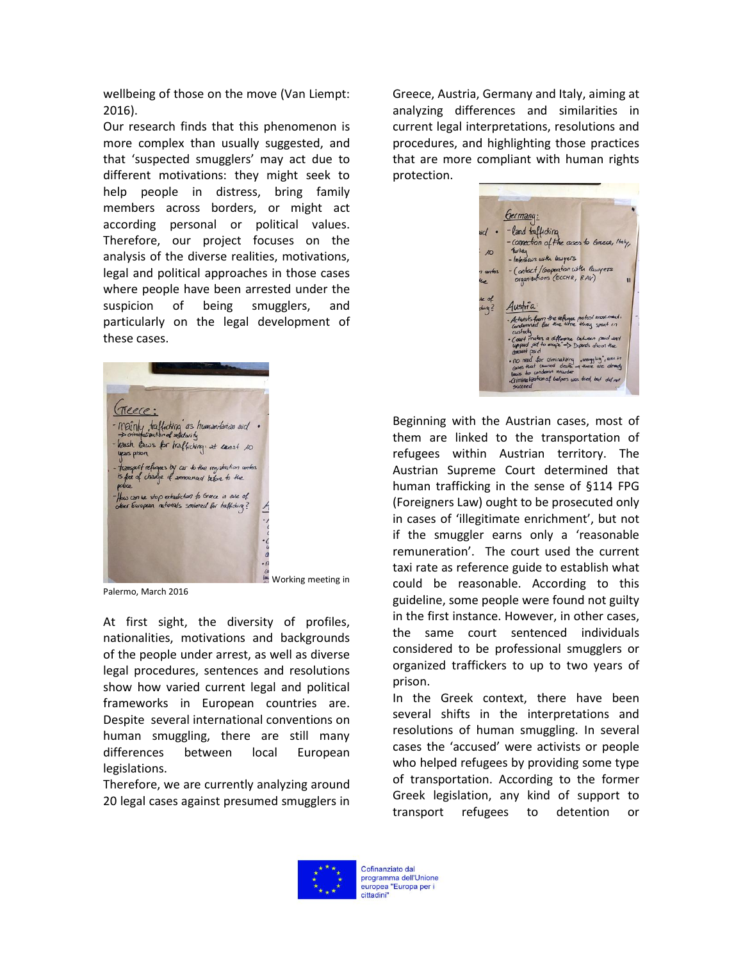wellbeing of those on the move (Van Liempt: 2016).

Our research finds that this phenomenon is more complex than usually suggested, and that 'suspected smugglers' may act due to different motivations: they might seek to help people in distress, bring family members across borders, or might act according personal or political values. Therefore, our project focuses on the analysis of the diverse realities, motivations, legal and political approaches in those cases where people have been arrested under the suspicion of being smugglers, and particularly on the legal development of these cases.



Palermo, March 2016

At first sight, the diversity of profiles, nationalities, motivations and backgrounds of the people under arrest, as well as diverse legal procedures, sentences and resolutions show how varied current legal and political frameworks in European countries are. Despite several international conventions on human smuggling, there are still many differences between local European legislations.

Therefore, we are currently analyzing around 20 legal cases against presumed smugglers in

Greece, Austria, Germany and Italy, aiming at analyzing differences and similarities in current legal interpretations, resolutions and procedures, and highlighting those practices that are more compliant with human rights protection.

bermany: -land trafficting connection of the cases to Greece, Haly us with lawyers Contact/Cooperation with lawyers chions (ECCHR, RAV) Austria  $\ln 2$ ulization of helpers was tried, but did.

Beginning with the Austrian cases, most of them are linked to the transportation of refugees within Austrian territory. The Austrian Supreme Court determined that human trafficking in the sense of §114 FPG (Foreigners Law) ought to be prosecuted only in cases of 'illegitimate enrichment', but not if the smuggler earns only a 'reasonable remuneration'. The court used the current taxi rate as reference guide to establish what could be reasonable. According to this guideline, some people were found not guilty in the first instance. However, in other cases, the same court sentenced individuals considered to be professional smugglers or organized traffickers to up to two years of prison.

In the Greek context, there have been several shifts in the interpretations and resolutions of human smuggling. In several cases the 'accused' were activists or people who helped refugees by providing some type of transportation. According to the former Greek legislation, any kind of support to transport refugees to detention or

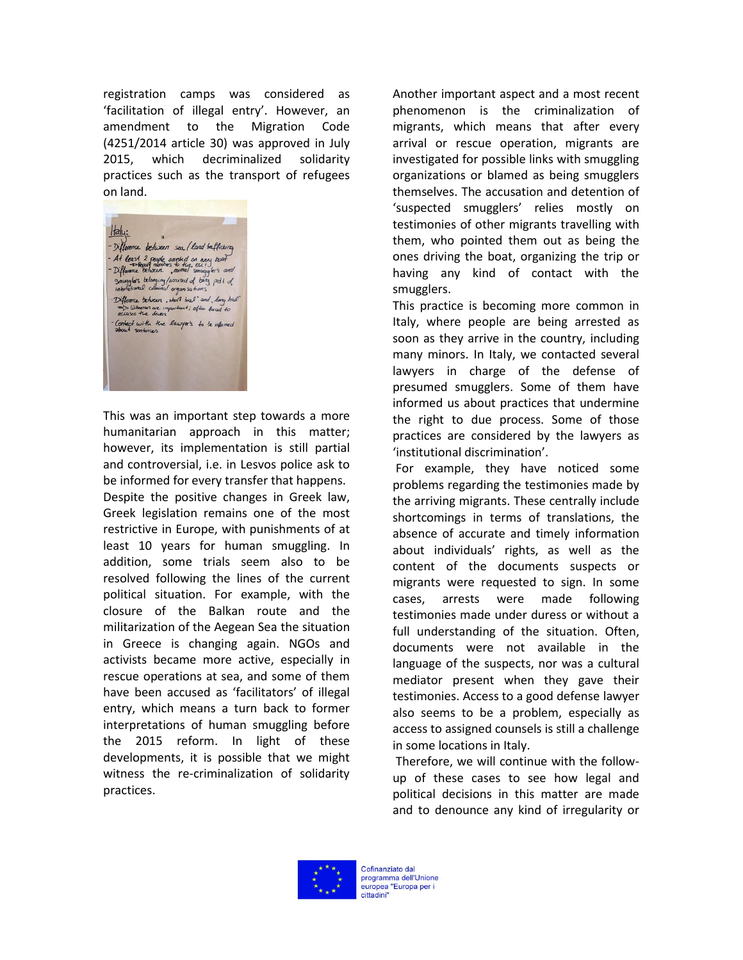registration camps was considered as 'facilitation of illegal entry'. However, an amendment to the Migration Code (4251/2014 article 30) was approved in July 2015, which decriminalized solidarity practices such as the transport of refugees on land.



This was an important step towards a more humanitarian approach in this matter; however, its implementation is still partial and controversial, i.e. in Lesvos police ask to be informed for every transfer that happens. Despite the positive changes in Greek law, Greek legislation remains one of the most restrictive in Europe, with punishments of at least 10 years for human smuggling. In addition, some trials seem also to be resolved following the lines of the current political situation. For example, with the closure of the Balkan route and the militarization of the Aegean Sea the situation in Greece is changing again. NGOs and activists became more active, especially in rescue operations at sea, and some of them have been accused as 'facilitators' of illegal entry, which means a turn back to former interpretations of human smuggling before the 2015 reform. In light of these developments, it is possible that we might witness the re-criminalization of solidarity practices.

Another important aspect and a most recent phenomenon is the criminalization of migrants, which means that after every arrival or rescue operation, migrants are investigated for possible links with smuggling organizations or blamed as being smugglers themselves. The accusation and detention of 'suspected smugglers' relies mostly on testimonies of other migrants travelling with them, who pointed them out as being the ones driving the boat, organizing the trip or having any kind of contact with the smugglers.

This practice is becoming more common in Italy, where people are being arrested as soon as they arrive in the country, including many minors. In Italy, we contacted several lawyers in charge of the defense of presumed smugglers. Some of them have informed us about practices that undermine the right to due process. Some of those practices are considered by the lawyers as 'institutional discrimination'.

For example, they have noticed some problems regarding the testimonies made by the arriving migrants. These centrally include shortcomings in terms of translations, the absence of accurate and timely information about individuals' rights, as well as the content of the documents suspects or migrants were requested to sign. In some cases, arrests were made following testimonies made under duress or without a full understanding of the situation. Often, documents were not available in the language of the suspects, nor was a cultural mediator present when they gave their testimonies. Access to a good defense lawyer also seems to be a problem, especially as access to assigned counsels is still a challenge in some locations in Italy.

Therefore, we will continue with the followup of these cases to see how legal and political decisions in this matter are made and to denounce any kind of irregularity or

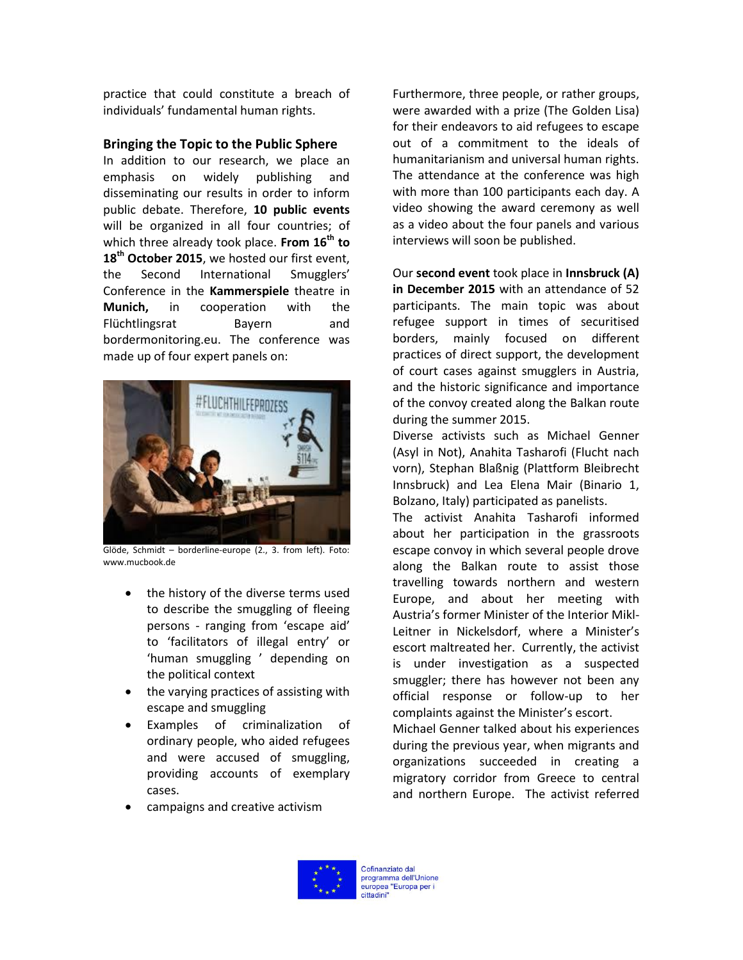practice that could constitute a breach of individuals' fundamental human rights.

## **Bringing the Topic to the Public Sphere**

In addition to our research, we place an emphasis on widely publishing and disseminating our results in order to inform public debate. Therefore, **10 public events** will be organized in all four countries; of which three already took place. **From 16th to 18th October 2015**, we hosted our first event, the Second International Smugglers' Conference in the **Kammerspiele** theatre in **Munich,** in cooperation with the Flüchtlingsrat Bayern and bordermonitoring.eu. The conference was made up of four expert panels on:



Glöde, Schmidt – borderline-europe (2., 3. from left). Foto: www.mucbook.de

- the history of the diverse terms used to describe the smuggling of fleeing persons - ranging from 'escape aid' to 'facilitators of illegal entry' or 'human smuggling ' depending on the political context
- the varying practices of assisting with escape and smuggling
- Examples of criminalization of ordinary people, who aided refugees and were accused of smuggling, providing accounts of exemplary cases.

Furthermore, three people, or rather groups, were awarded with a prize (The Golden Lisa) for their endeavors to aid refugees to escape out of a commitment to the ideals of humanitarianism and universal human rights. The attendance at the conference was high with more than 100 participants each day. A video showing the award ceremony as well as a video about the four panels and various interviews will soon be published.

Our **second event** took place in **Innsbruck (A) in December 2015** with an attendance of 52 participants. The main topic was about refugee support in times of securitised borders, mainly focused on different practices of direct support, the development of court cases against smugglers in Austria, and the historic significance and importance of the convoy created along the Balkan route during the summer 2015.

Diverse activists such as Michael Genner (Asyl in Not), Anahita Tasharofi (Flucht nach vorn), Stephan Blaßnig (Plattform Bleibrecht Innsbruck) and Lea Elena Mair (Binario 1, Bolzano, Italy) participated as panelists.

The activist Anahita Tasharofi informed about her participation in the grassroots escape convoy in which several people drove along the Balkan route to assist those travelling towards northern and western Europe, and about her meeting with Austria's former Minister of the Interior Mikl-Leitner in Nickelsdorf, where a Minister's escort maltreated her. Currently, the activist is under investigation as a suspected smuggler; there has however not been any official response or follow-up to her complaints against the Minister's escort.

Michael Genner talked about his experiences during the previous year, when migrants and organizations succeeded in creating a migratory corridor from Greece to central and northern Europe. The activist referred

campaigns and creative activism

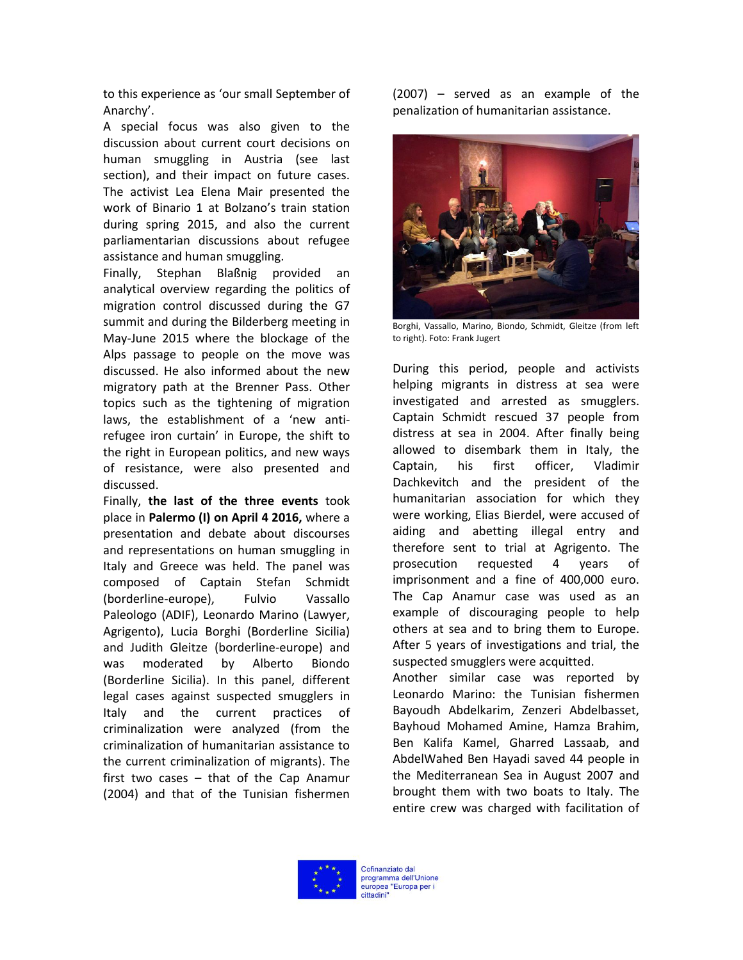to this experience as 'our small September of Anarchy'.

A special focus was also given to the discussion about current court decisions on human smuggling in Austria (see last section), and their impact on future cases. The activist Lea Elena Mair presented the work of Binario 1 at Bolzano's train station during spring 2015, and also the current parliamentarian discussions about refugee assistance and human smuggling.

Finally, Stephan Blaßnig provided an analytical overview regarding the politics of migration control discussed during the G7 summit and during the Bilderberg meeting in May-June 2015 where the blockage of the Alps passage to people on the move was discussed. He also informed about the new migratory path at the Brenner Pass. Other topics such as the tightening of migration laws, the establishment of a 'new antirefugee iron curtain' in Europe, the shift to the right in European politics, and new ways of resistance, were also presented and discussed.

Finally, **the last of the three events** took place in **Palermo (I) on April 4 2016,** where a presentation and debate about discourses and representations on human smuggling in Italy and Greece was held. The panel was composed of Captain Stefan Schmidt (borderline-europe), Fulvio Vassallo Paleologo (ADIF), Leonardo Marino (Lawyer, Agrigento), Lucia Borghi (Borderline Sicilia) and Judith Gleitze (borderline-europe) and was moderated by Alberto Biondo (Borderline Sicilia). In this panel, different legal cases against suspected smugglers in Italy and the current practices of criminalization were analyzed (from the criminalization of humanitarian assistance to the current criminalization of migrants). The first two cases – that of the Cap Anamur (2004) and that of the Tunisian fishermen

(2007) – served as an example of the penalization of humanitarian assistance.



Borghi, Vassallo, Marino, Biondo, Schmidt, Gleitze (from left to right). Foto: Frank Jugert

During this period, people and activists helping migrants in distress at sea were investigated and arrested as smugglers. Captain Schmidt rescued 37 people from distress at sea in 2004. After finally being allowed to disembark them in Italy, the Captain, his first officer, Vladimir Dachkevitch and the president of the humanitarian association for which they were working, Elias Bierdel, were accused of aiding and abetting illegal entry and therefore sent to trial at Agrigento. The prosecution requested 4 years of imprisonment and a fine of 400,000 euro. The Cap Anamur case was used as an example of discouraging people to help others at sea and to bring them to Europe. After 5 years of investigations and trial, the suspected smugglers were acquitted.

Another similar case was reported by Leonardo Marino: the Tunisian fishermen Bayoudh Abdelkarim, Zenzeri Abdelbasset, Bayhoud Mohamed Amine, Hamza Brahim, Ben Kalifa Kamel, Gharred Lassaab, and AbdelWahed Ben Hayadi saved 44 people in the Mediterranean Sea in August 2007 and brought them with two boats to Italy. The entire crew was charged with facilitation of

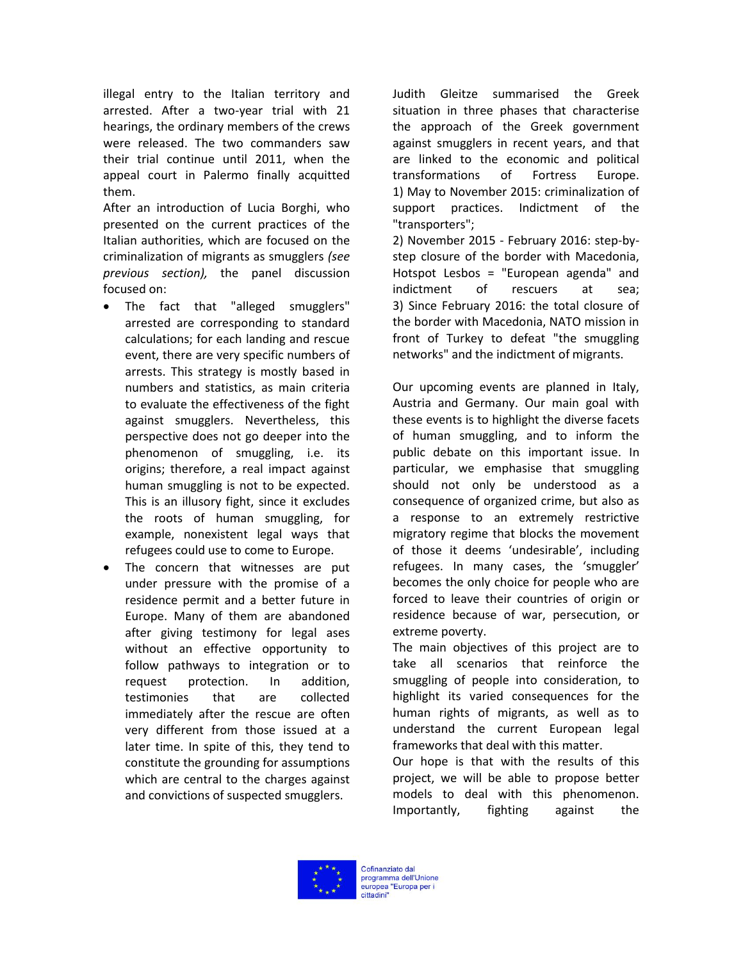illegal entry to the Italian territory and arrested. After a two-year trial with 21 hearings, the ordinary members of the crews were released. The two commanders saw their trial continue until 2011, when the appeal court in Palermo finally acquitted them.

After an introduction of Lucia Borghi, who presented on the current practices of the Italian authorities, which are focused on the criminalization of migrants as smugglers *(see previous section),* the panel discussion focused on:

- The fact that "alleged smugglers" arrested are corresponding to standard calculations; for each landing and rescue event, there are very specific numbers of arrests. This strategy is mostly based in numbers and statistics, as main criteria to evaluate the effectiveness of the fight against smugglers. Nevertheless, this perspective does not go deeper into the phenomenon of smuggling, i.e. its origins; therefore, a real impact against human smuggling is not to be expected. This is an illusory fight, since it excludes the roots of human smuggling, for example, nonexistent legal ways that refugees could use to come to Europe.
- The concern that witnesses are put under pressure with the promise of a residence permit and a better future in Europe. Many of them are abandoned after giving testimony for legal ases without an effective opportunity to follow pathways to integration or to request protection. In addition, testimonies that are collected immediately after the rescue are often very different from those issued at a later time. In spite of this, they tend to constitute the grounding for assumptions which are central to the charges against and convictions of suspected smugglers.

Judith Gleitze summarised the Greek situation in three phases that characterise the approach of the Greek government against smugglers in recent years, and that are linked to the economic and political transformations of Fortress Europe. 1) May to November 2015: criminalization of support practices. Indictment of the "transporters";

2) November 2015 - February 2016: step-bystep closure of the border with Macedonia, Hotspot Lesbos = "European agenda" and indictment of rescuers at sea; 3) Since February 2016: the total closure of the border with Macedonia, NATO mission in front of Turkey to defeat "the smuggling networks" and the indictment of migrants.

Our upcoming events are planned in Italy, Austria and Germany. Our main goal with these events is to highlight the diverse facets of human smuggling, and to inform the public debate on this important issue. In particular, we emphasise that smuggling should not only be understood as a consequence of organized crime, but also as a response to an extremely restrictive migratory regime that blocks the movement of those it deems 'undesirable', including refugees. In many cases, the 'smuggler' becomes the only choice for people who are forced to leave their countries of origin or residence because of war, persecution, or extreme poverty.

The main objectives of this project are to take all scenarios that reinforce the smuggling of people into consideration, to highlight its varied consequences for the human rights of migrants, as well as to understand the current European legal frameworks that deal with this matter.

Our hope is that with the results of this project, we will be able to propose better models to deal with this phenomenon. Importantly, fighting against the